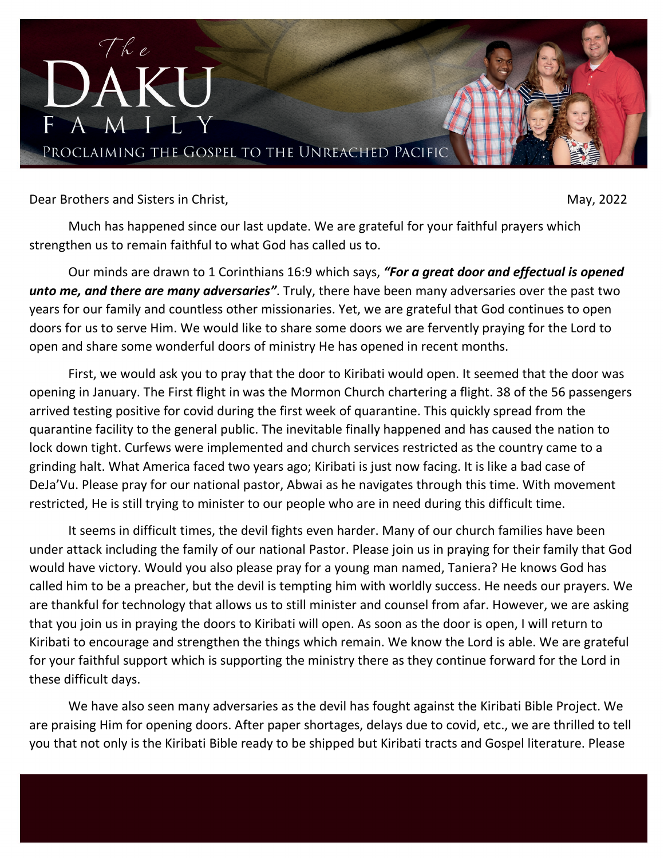

Dear Brothers and Sisters in Christ, National Science of the Christ Christ Christ Christ Christ Christ Christ Christ Christ Christ Christ Christ Christ Christ Christ Christ Christ Christ Christ Christ Christ Christ Christ

Much has happened since our last update. We are grateful for your faithful prayers which strengthen us to remain faithful to what God has called us to.

Our minds are drawn to 1 Corinthians 16:9 which says, *"For a great door and effectual is opened unto me, and there are many adversaries"*. Truly, there have been many adversaries over the past two years for our family and countless other missionaries. Yet, we are grateful that God continues to open doors for us to serve Him. We would like to share some doors we are fervently praying for the Lord to open and share some wonderful doors of ministry He has opened in recent months.

First, we would ask you to pray that the door to Kiribati would open. It seemed that the door was opening in January. The First flight in was the Mormon Church chartering a flight. 38 of the 56 passengers arrived testing positive for covid during the first week of quarantine. This quickly spread from the quarantine facility to the general public. The inevitable finally happened and has caused the nation to lock down tight. Curfews were implemented and church services restricted as the country came to a grinding halt. What America faced two years ago; Kiribati is just now facing. It is like a bad case of DeJa'Vu. Please pray for our national pastor, Abwai as he navigates through this time. With movement restricted, He is still trying to minister to our people who are in need during this difficult time.

It seems in difficult times, the devil fights even harder. Many of our church families have been under attack including the family of our national Pastor. Please join us in praying for their family that God would have victory. Would you also please pray for a young man named, Taniera? He knows God has called him to be a preacher, but the devil is tempting him with worldly success. He needs our prayers. We are thankful for technology that allows us to still minister and counsel from afar. However, we are asking that you join us in praying the doors to Kiribati will open. As soon as the door is open, I will return to Kiribati to encourage and strengthen the things which remain. We know the Lord is able. We are grateful for your faithful support which is supporting the ministry there as they continue forward for the Lord in these difficult days.

We have also seen many adversaries as the devil has fought against the Kiribati Bible Project. We are praising Him for opening doors. After paper shortages, delays due to covid, etc., we are thrilled to tell you that not only is the Kiribati Bible ready to be shipped but Kiribati tracts and Gospel literature. Please